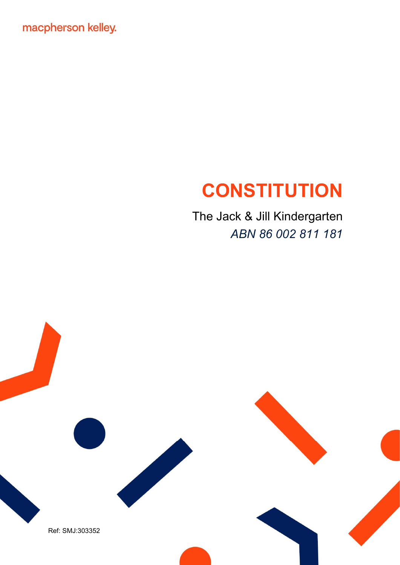macpherson kelley.

# **CONSTITUTION**

The Jack & Jill Kindergarten ABN 86 002 811 181

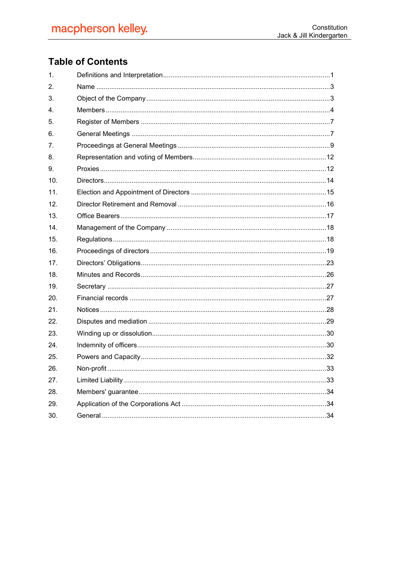# **Table of Contents**

| 1.              |  |
|-----------------|--|
| 2.              |  |
| 3.              |  |
| $4_{-}$         |  |
| 5.              |  |
| 6.              |  |
| 7 <sub>1</sub>  |  |
| 8.              |  |
| 9.              |  |
| 10 <sub>1</sub> |  |
| 11.             |  |
| 12.             |  |
| 13.             |  |
| 14.             |  |
| 15.             |  |
| 16.             |  |
| 17.             |  |
| 18.             |  |
| 19 <sub>1</sub> |  |
| 20.             |  |
| 21.             |  |
| 22.             |  |
| 23.             |  |
| 24.             |  |
| 25.             |  |
| 26.             |  |
| 27.             |  |
| 28.             |  |
| 29.             |  |
| 30.             |  |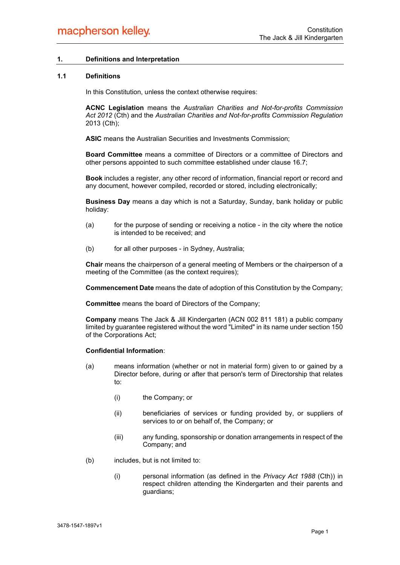# 1. Definitions and Interpretation

#### 1.1 Definitions

In this Constitution, unless the context otherwise requires:

ACNC Legislation means the Australian Charities and Not-for-profits Commission Act 2012 (Cth) and the Australian Charities and Not-for-profits Commission Regulation 2013 (Cth);

ASIC means the Australian Securities and Investments Commission;

Board Committee means a committee of Directors or a committee of Directors and other persons appointed to such committee established under clause 16.7;

Book includes a register, any other record of information, financial report or record and any document, however compiled, recorded or stored, including electronically;

Business Day means a day which is not a Saturday, Sunday, bank holiday or public holiday:

- (a) for the purpose of sending or receiving a notice in the city where the notice is intended to be received; and
- (b) for all other purposes in Sydney, Australia;

Chair means the chairperson of a general meeting of Members or the chairperson of a meeting of the Committee (as the context requires):

Commencement Date means the date of adoption of this Constitution by the Company;

Committee means the board of Directors of the Company;

Company means The Jack & Jill Kindergarten (ACN 002 811 181) a public company limited by guarantee registered without the word "Limited" in its name under section 150 of the Corporations Act;

#### Confidential Information:

- (a) means information (whether or not in material form) given to or gained by a Director before, during or after that person's term of Directorship that relates to:
	- (i) the Company; or
	- (ii) beneficiaries of services or funding provided by, or suppliers of services to or on behalf of, the Company; or
	- (iii) any funding, sponsorship or donation arrangements in respect of the Company; and
- (b) includes, but is not limited to:
	- (i) personal information (as defined in the Privacy Act 1988 (Cth)) in respect children attending the Kindergarten and their parents and guardians;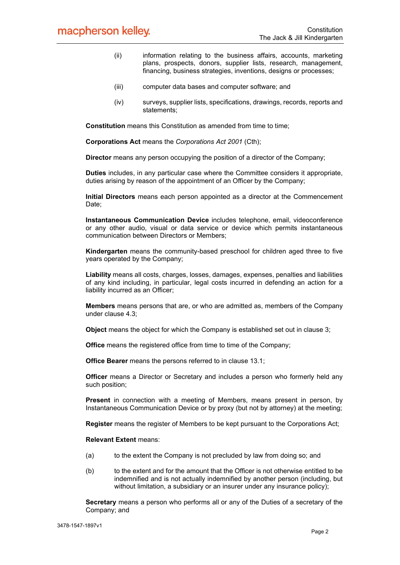- (ii) information relating to the business affairs, accounts, marketing plans, prospects, donors, supplier lists, research, management, financing, business strategies, inventions, designs or processes;
- (iii) computer data bases and computer software; and
- (iv) surveys, supplier lists, specifications, drawings, records, reports and statements;

Constitution means this Constitution as amended from time to time;

Corporations Act means the Corporations Act 2001 (Cth);

Director means any person occupying the position of a director of the Company;

Duties includes, in any particular case where the Committee considers it appropriate, duties arising by reason of the appointment of an Officer by the Company;

Initial Directors means each person appointed as a director at the Commencement Date;

Instantaneous Communication Device includes telephone, email, videoconference or any other audio, visual or data service or device which permits instantaneous communication between Directors or Members;

Kindergarten means the community-based preschool for children aged three to five years operated by the Company;

Liability means all costs, charges, losses, damages, expenses, penalties and liabilities of any kind including, in particular, legal costs incurred in defending an action for a liability incurred as an Officer;

Members means persons that are, or who are admitted as, members of the Company under clause 4.3;

Object means the object for which the Company is established set out in clause 3;

Office means the registered office from time to time of the Company;

**Office Bearer** means the persons referred to in clause 13.1;

Officer means a Director or Secretary and includes a person who formerly held any such position;

Present in connection with a meeting of Members, means present in person, by Instantaneous Communication Device or by proxy (but not by attorney) at the meeting;

Register means the register of Members to be kept pursuant to the Corporations Act;

Relevant Extent means:

- (a) to the extent the Company is not precluded by law from doing so; and
- (b) to the extent and for the amount that the Officer is not otherwise entitled to be indemnified and is not actually indemnified by another person (including, but without limitation, a subsidiary or an insurer under any insurance policy);

Secretary means a person who performs all or any of the Duties of a secretary of the Company; and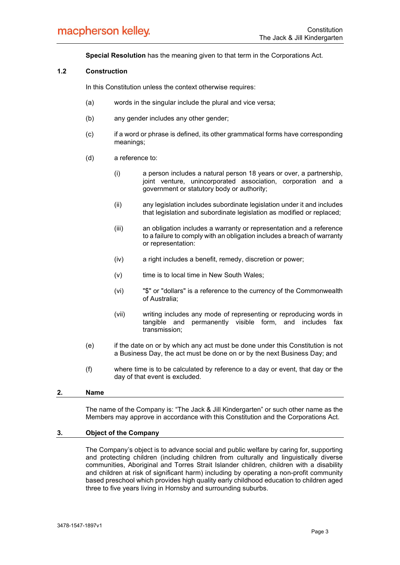Special Resolution has the meaning given to that term in the Corporations Act.

# 1.2 Construction

In this Constitution unless the context otherwise requires:

- (a) words in the singular include the plural and vice versa;
- (b) any gender includes any other gender;
- (c) if a word or phrase is defined, its other grammatical forms have corresponding meanings;
- (d) a reference to:
	- (i) a person includes a natural person 18 years or over, a partnership, joint venture, unincorporated association, corporation and a government or statutory body or authority;
	- (ii) any legislation includes subordinate legislation under it and includes that legislation and subordinate legislation as modified or replaced;
	- (iii) an obligation includes a warranty or representation and a reference to a failure to comply with an obligation includes a breach of warranty or representation:
	- (iv) a right includes a benefit, remedy, discretion or power;
	- (v) time is to local time in New South Wales;
	- (vi) "\$" or "dollars" is a reference to the currency of the Commonwealth of Australia;
	- (vii) writing includes any mode of representing or reproducing words in tangible and permanently visible form, and includes fax transmission;
- (e) if the date on or by which any act must be done under this Constitution is not a Business Day, the act must be done on or by the next Business Day; and
- (f) where time is to be calculated by reference to a day or event, that day or the day of that event is excluded.

#### 2. Name

The name of the Company is: "The Jack & Jill Kindergarten" or such other name as the Members may approve in accordance with this Constitution and the Corporations Act.

# 3. Object of the Company

The Company's object is to advance social and public welfare by caring for, supporting and protecting children (including children from culturally and linguistically diverse communities, Aboriginal and Torres Strait Islander children, children with a disability and children at risk of significant harm) including by operating a non-profit community based preschool which provides high quality early childhood education to children aged three to five years living in Hornsby and surrounding suburbs.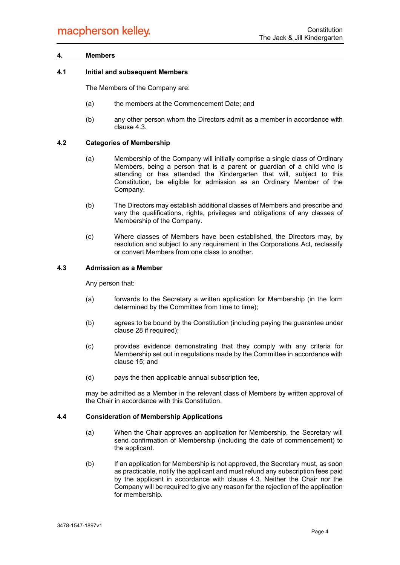# macpherson kelley.

#### 4. Members

# 4.1 Initial and subsequent Members

The Members of the Company are:

- (a) the members at the Commencement Date; and
- (b) any other person whom the Directors admit as a member in accordance with clause 4.3.

#### 4.2 Categories of Membership

- (a) Membership of the Company will initially comprise a single class of Ordinary Members, being a person that is a parent or guardian of a child who is attending or has attended the Kindergarten that will, subject to this Constitution, be eligible for admission as an Ordinary Member of the Company.
- (b) The Directors may establish additional classes of Members and prescribe and vary the qualifications, rights, privileges and obligations of any classes of Membership of the Company.
- (c) Where classes of Members have been established, the Directors may, by resolution and subject to any requirement in the Corporations Act, reclassify or convert Members from one class to another.

#### 4.3 Admission as a Member

Any person that:

- (a) forwards to the Secretary a written application for Membership (in the form determined by the Committee from time to time);
- (b) agrees to be bound by the Constitution (including paying the guarantee under clause 28 if required);
- (c) provides evidence demonstrating that they comply with any criteria for Membership set out in regulations made by the Committee in accordance with clause 15; and
- (d) pays the then applicable annual subscription fee,

may be admitted as a Member in the relevant class of Members by written approval of the Chair in accordance with this Constitution.

# 4.4 Consideration of Membership Applications

- (a) When the Chair approves an application for Membership, the Secretary will send confirmation of Membership (including the date of commencement) to the applicant.
- (b) If an application for Membership is not approved, the Secretary must, as soon as practicable, notify the applicant and must refund any subscription fees paid by the applicant in accordance with clause 4.3. Neither the Chair nor the Company will be required to give any reason for the rejection of the application for membership.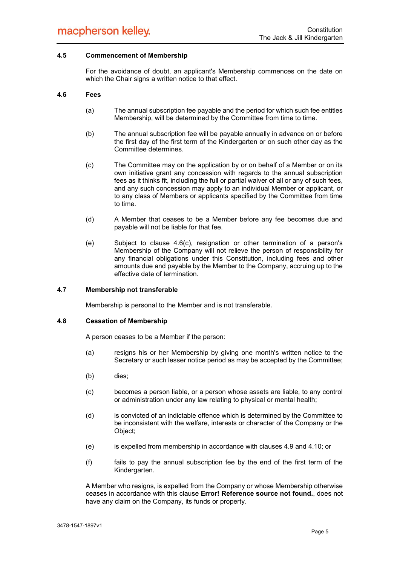# 4.5 Commencement of Membership

For the avoidance of doubt, an applicant's Membership commences on the date on which the Chair signs a written notice to that effect.

#### 4.6 Fees

- (a) The annual subscription fee payable and the period for which such fee entitles Membership, will be determined by the Committee from time to time.
- (b) The annual subscription fee will be payable annually in advance on or before the first day of the first term of the Kindergarten or on such other day as the Committee determines.
- (c) The Committee may on the application by or on behalf of a Member or on its own initiative grant any concession with regards to the annual subscription fees as it thinks fit, including the full or partial waiver of all or any of such fees, and any such concession may apply to an individual Member or applicant, or to any class of Members or applicants specified by the Committee from time to time.
- (d) A Member that ceases to be a Member before any fee becomes due and payable will not be liable for that fee.
- (e) Subject to clause 4.6(c), resignation or other termination of a person's Membership of the Company will not relieve the person of responsibility for any financial obligations under this Constitution, including fees and other amounts due and payable by the Member to the Company, accruing up to the effective date of termination.

# 4.7 Membership not transferable

Membership is personal to the Member and is not transferable.

# 4.8 Cessation of Membership

A person ceases to be a Member if the person:

- (a) resigns his or her Membership by giving one month's written notice to the Secretary or such lesser notice period as may be accepted by the Committee;
- (b) dies;
- (c) becomes a person liable, or a person whose assets are liable, to any control or administration under any law relating to physical or mental health;
- (d) is convicted of an indictable offence which is determined by the Committee to be inconsistent with the welfare, interests or character of the Company or the Object;
- (e) is expelled from membership in accordance with clauses 4.9 and 4.10; or
- (f) fails to pay the annual subscription fee by the end of the first term of the Kindergarten.

A Member who resigns, is expelled from the Company or whose Membership otherwise ceases in accordance with this clause Error! Reference source not found., does not have any claim on the Company, its funds or property.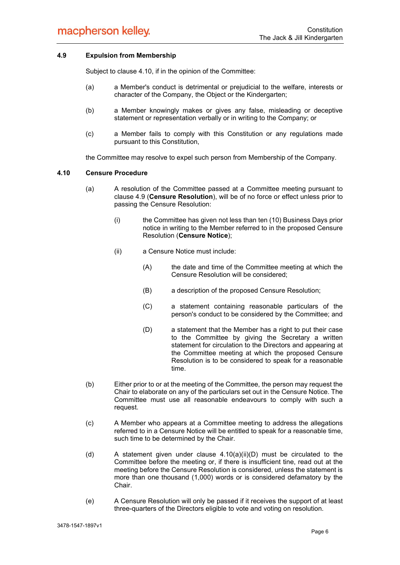# 4.9 Expulsion from Membership

Subject to clause 4.10, if in the opinion of the Committee:

- (a) a Member's conduct is detrimental or prejudicial to the welfare, interests or character of the Company, the Object or the Kindergarten;
- (b) a Member knowingly makes or gives any false, misleading or deceptive statement or representation verbally or in writing to the Company; or
- (c) a Member fails to comply with this Constitution or any regulations made pursuant to this Constitution,

the Committee may resolve to expel such person from Membership of the Company.

# 4.10 Censure Procedure

- (a) A resolution of the Committee passed at a Committee meeting pursuant to clause 4.9 (Censure Resolution), will be of no force or effect unless prior to passing the Censure Resolution:
	- (i) the Committee has given not less than ten (10) Business Days prior notice in writing to the Member referred to in the proposed Censure Resolution (Censure Notice);
	- (ii) a Censure Notice must include:
		- (A) the date and time of the Committee meeting at which the Censure Resolution will be considered;
		- (B) a description of the proposed Censure Resolution;
		- (C) a statement containing reasonable particulars of the person's conduct to be considered by the Committee; and
		- (D) a statement that the Member has a right to put their case to the Committee by giving the Secretary a written statement for circulation to the Directors and appearing at the Committee meeting at which the proposed Censure Resolution is to be considered to speak for a reasonable time.
- (b) Either prior to or at the meeting of the Committee, the person may request the Chair to elaborate on any of the particulars set out in the Censure Notice. The Committee must use all reasonable endeavours to comply with such a request.
- (c) A Member who appears at a Committee meeting to address the allegations referred to in a Censure Notice will be entitled to speak for a reasonable time, such time to be determined by the Chair.
- (d) A statement given under clause  $4.10(a)(ii)(D)$  must be circulated to the Committee before the meeting or, if there is insufficient tine, read out at the meeting before the Censure Resolution is considered, unless the statement is more than one thousand (1,000) words or is considered defamatory by the Chair.
- (e) A Censure Resolution will only be passed if it receives the support of at least three-quarters of the Directors eligible to vote and voting on resolution.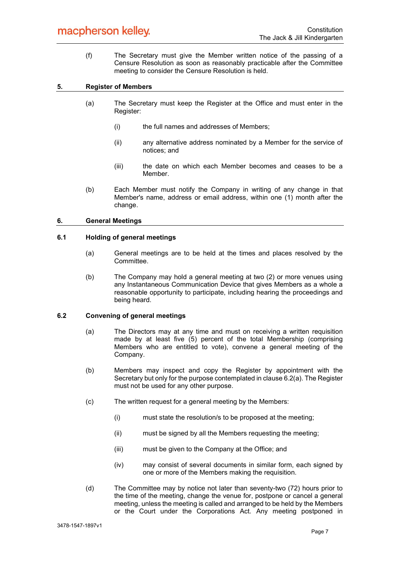# macpherson kelley.

(f) The Secretary must give the Member written notice of the passing of a Censure Resolution as soon as reasonably practicable after the Committee meeting to consider the Censure Resolution is held.

# 5. Register of Members

- (a) The Secretary must keep the Register at the Office and must enter in the Register:
	- (i) the full names and addresses of Members;
	- (ii) any alternative address nominated by a Member for the service of notices; and
	- (iii) the date on which each Member becomes and ceases to be a Member.
- (b) Each Member must notify the Company in writing of any change in that Member's name, address or email address, within one (1) month after the change.

# 6. General Meetings

# 6.1 Holding of general meetings

- (a) General meetings are to be held at the times and places resolved by the Committee.
- (b) The Company may hold a general meeting at two (2) or more venues using any Instantaneous Communication Device that gives Members as a whole a reasonable opportunity to participate, including hearing the proceedings and being heard.

# 6.2 Convening of general meetings

- (a) The Directors may at any time and must on receiving a written requisition made by at least five (5) percent of the total Membership (comprising Members who are entitled to vote), convene a general meeting of the Company.
- (b) Members may inspect and copy the Register by appointment with the Secretary but only for the purpose contemplated in clause 6.2(a). The Register must not be used for any other purpose.
- (c) The written request for a general meeting by the Members:
	- (i) must state the resolution/s to be proposed at the meeting;
	- (ii) must be signed by all the Members requesting the meeting;
	- (iii) must be given to the Company at the Office; and
	- (iv) may consist of several documents in similar form, each signed by one or more of the Members making the requisition.
- (d) The Committee may by notice not later than seventy-two (72) hours prior to the time of the meeting, change the venue for, postpone or cancel a general meeting, unless the meeting is called and arranged to be held by the Members or the Court under the Corporations Act. Any meeting postponed in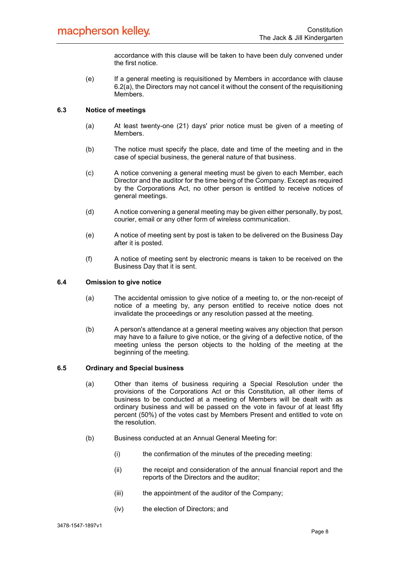accordance with this clause will be taken to have been duly convened under the first notice.

(e) If a general meeting is requisitioned by Members in accordance with clause 6.2(a), the Directors may not cancel it without the consent of the requisitioning **Members** 

# 6.3 Notice of meetings

- (a) At least twenty-one (21) days' prior notice must be given of a meeting of Members.
- (b) The notice must specify the place, date and time of the meeting and in the case of special business, the general nature of that business.
- (c) A notice convening a general meeting must be given to each Member, each Director and the auditor for the time being of the Company. Except as required by the Corporations Act, no other person is entitled to receive notices of general meetings.
- (d) A notice convening a general meeting may be given either personally, by post, courier, email or any other form of wireless communication.
- (e) A notice of meeting sent by post is taken to be delivered on the Business Day after it is posted.
- (f) A notice of meeting sent by electronic means is taken to be received on the Business Day that it is sent.

# 6.4 Omission to give notice

- (a) The accidental omission to give notice of a meeting to, or the non-receipt of notice of a meeting by, any person entitled to receive notice does not invalidate the proceedings or any resolution passed at the meeting.
- (b) A person's attendance at a general meeting waives any objection that person may have to a failure to give notice, or the giving of a defective notice, of the meeting unless the person objects to the holding of the meeting at the beginning of the meeting.

#### 6.5 Ordinary and Special business

- (a) Other than items of business requiring a Special Resolution under the provisions of the Corporations Act or this Constitution, all other items of business to be conducted at a meeting of Members will be dealt with as ordinary business and will be passed on the vote in favour of at least fifty percent (50%) of the votes cast by Members Present and entitled to vote on the resolution.
- (b) Business conducted at an Annual General Meeting for:
	- (i) the confirmation of the minutes of the preceding meeting:
	- (ii) the receipt and consideration of the annual financial report and the reports of the Directors and the auditor;
	- (iii) the appointment of the auditor of the Company;
	- (iv) the election of Directors; and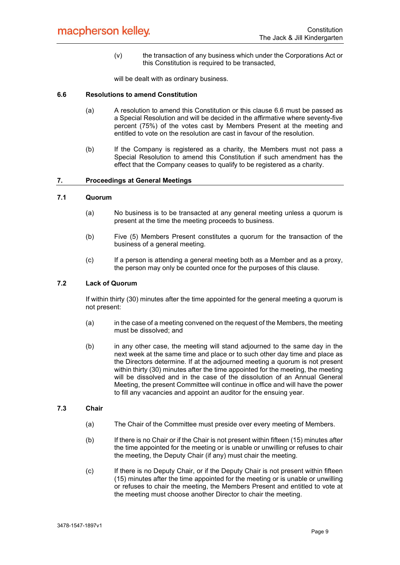(v) the transaction of any business which under the Corporations Act or this Constitution is required to be transacted,

will be dealt with as ordinary business.

# 6.6 Resolutions to amend Constitution

- (a) A resolution to amend this Constitution or this clause 6.6 must be passed as a Special Resolution and will be decided in the affirmative where seventy-five percent (75%) of the votes cast by Members Present at the meeting and entitled to vote on the resolution are cast in favour of the resolution.
- (b) If the Company is registered as a charity, the Members must not pass a Special Resolution to amend this Constitution if such amendment has the effect that the Company ceases to qualify to be registered as a charity.

# 7. Proceedings at General Meetings

#### 7.1 Quorum

- (a) No business is to be transacted at any general meeting unless a quorum is present at the time the meeting proceeds to business.
- (b) Five (5) Members Present constitutes a quorum for the transaction of the business of a general meeting.
- (c) If a person is attending a general meeting both as a Member and as a proxy, the person may only be counted once for the purposes of this clause.

# 7.2 Lack of Quorum

If within thirty (30) minutes after the time appointed for the general meeting a quorum is not present:

- (a) in the case of a meeting convened on the request of the Members, the meeting must be dissolved; and
- (b) in any other case, the meeting will stand adjourned to the same day in the next week at the same time and place or to such other day time and place as the Directors determine. If at the adjourned meeting a quorum is not present within thirty (30) minutes after the time appointed for the meeting, the meeting will be dissolved and in the case of the dissolution of an Annual General Meeting, the present Committee will continue in office and will have the power to fill any vacancies and appoint an auditor for the ensuing year.

#### 7.3 Chair

- (a) The Chair of the Committee must preside over every meeting of Members.
- (b) If there is no Chair or if the Chair is not present within fifteen (15) minutes after the time appointed for the meeting or is unable or unwilling or refuses to chair the meeting, the Deputy Chair (if any) must chair the meeting.
- (c) If there is no Deputy Chair, or if the Deputy Chair is not present within fifteen (15) minutes after the time appointed for the meeting or is unable or unwilling or refuses to chair the meeting, the Members Present and entitled to vote at the meeting must choose another Director to chair the meeting.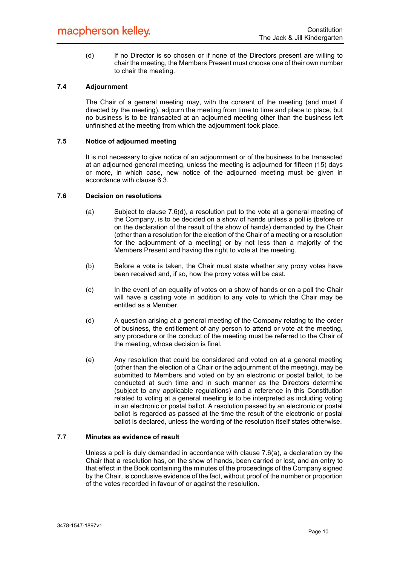(d) If no Director is so chosen or if none of the Directors present are willing to chair the meeting, the Members Present must choose one of their own number to chair the meeting.

# 7.4 Adjournment

The Chair of a general meeting may, with the consent of the meeting (and must if directed by the meeting), adjourn the meeting from time to time and place to place, but no business is to be transacted at an adjourned meeting other than the business left unfinished at the meeting from which the adjournment took place.

#### 7.5 Notice of adjourned meeting

It is not necessary to give notice of an adjournment or of the business to be transacted at an adjourned general meeting, unless the meeting is adjourned for fifteen (15) days or more, in which case, new notice of the adjourned meeting must be given in accordance with clause 6.3.

# 7.6 Decision on resolutions

- (a) Subject to clause 7.6(d), a resolution put to the vote at a general meeting of the Company, is to be decided on a show of hands unless a poll is (before or on the declaration of the result of the show of hands) demanded by the Chair (other than a resolution for the election of the Chair of a meeting or a resolution for the adjournment of a meeting) or by not less than a majority of the Members Present and having the right to vote at the meeting.
- (b) Before a vote is taken, the Chair must state whether any proxy votes have been received and, if so, how the proxy votes will be cast.
- (c) In the event of an equality of votes on a show of hands or on a poll the Chair will have a casting vote in addition to any vote to which the Chair may be entitled as a Member.
- (d) A question arising at a general meeting of the Company relating to the order of business, the entitlement of any person to attend or vote at the meeting, any procedure or the conduct of the meeting must be referred to the Chair of the meeting, whose decision is final.
- (e) Any resolution that could be considered and voted on at a general meeting (other than the election of a Chair or the adjournment of the meeting), may be submitted to Members and voted on by an electronic or postal ballot, to be conducted at such time and in such manner as the Directors determine (subject to any applicable regulations) and a reference in this Constitution related to voting at a general meeting is to be interpreted as including voting in an electronic or postal ballot. A resolution passed by an electronic or postal ballot is regarded as passed at the time the result of the electronic or postal ballot is declared, unless the wording of the resolution itself states otherwise.

# 7.7 Minutes as evidence of result

Unless a poll is duly demanded in accordance with clause 7.6(a), a declaration by the Chair that a resolution has, on the show of hands, been carried or lost, and an entry to that effect in the Book containing the minutes of the proceedings of the Company signed by the Chair, is conclusive evidence of the fact, without proof of the number or proportion of the votes recorded in favour of or against the resolution.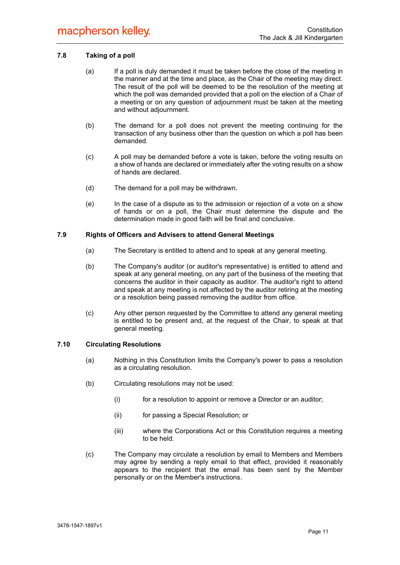# 7.8 Taking of a poll

- (a) If a poll is duly demanded it must be taken before the close of the meeting in the manner and at the time and place, as the Chair of the meeting may direct. The result of the poll will be deemed to be the resolution of the meeting at which the poll was demanded provided that a poll on the election of a Chair of a meeting or on any question of adjournment must be taken at the meeting and without adjournment.
- (b) The demand for a poll does not prevent the meeting continuing for the transaction of any business other than the question on which a poll has been demanded.
- (c) A poll may be demanded before a vote is taken, before the voting results on a show of hands are declared or immediately after the voting results on a show of hands are declared.
- (d) The demand for a poll may be withdrawn.
- (e) In the case of a dispute as to the admission or rejection of a vote on a show of hands or on a poll, the Chair must determine the dispute and the determination made in good faith will be final and conclusive.

#### 7.9 Rights of Officers and Advisers to attend General Meetings

- (a) The Secretary is entitled to attend and to speak at any general meeting.
- (b) The Company's auditor (or auditor's representative) is entitled to attend and speak at any general meeting, on any part of the business of the meeting that concerns the auditor in their capacity as auditor. The auditor's right to attend and speak at any meeting is not affected by the auditor retiring at the meeting or a resolution being passed removing the auditor from office.
- (c) Any other person requested by the Committee to attend any general meeting is entitled to be present and, at the request of the Chair, to speak at that general meeting.

#### 7.10 Circulating Resolutions

- (a) Nothing in this Constitution limits the Company's power to pass a resolution as a circulating resolution.
- (b) Circulating resolutions may not be used:
	- (i) for a resolution to appoint or remove a Director or an auditor;
	- (ii) for passing a Special Resolution; or
	- (iii) where the Corporations Act or this Constitution requires a meeting to be held.
- (c) The Company may circulate a resolution by email to Members and Members may agree by sending a reply email to that effect, provided it reasonably appears to the recipient that the email has been sent by the Member personally or on the Member's instructions.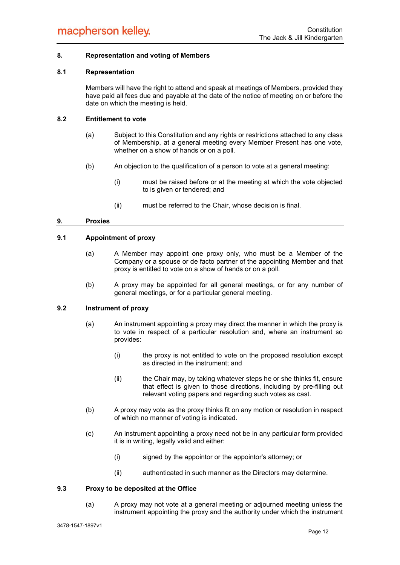# 8. Representation and voting of Members

# 8.1 Representation

Members will have the right to attend and speak at meetings of Members, provided they have paid all fees due and payable at the date of the notice of meeting on or before the date on which the meeting is held.

#### 8.2 Entitlement to vote

- (a) Subject to this Constitution and any rights or restrictions attached to any class of Membership, at a general meeting every Member Present has one vote, whether on a show of hands or on a poll.
- (b) An objection to the qualification of a person to vote at a general meeting:
	- (i) must be raised before or at the meeting at which the vote objected to is given or tendered; and
	- (ii) must be referred to the Chair, whose decision is final.

#### 9. Proxies

# 9.1 Appointment of proxy

- (a) A Member may appoint one proxy only, who must be a Member of the Company or a spouse or de facto partner of the appointing Member and that proxy is entitled to vote on a show of hands or on a poll.
- (b) A proxy may be appointed for all general meetings, or for any number of general meetings, or for a particular general meeting.

# 9.2 Instrument of proxy

- (a) An instrument appointing a proxy may direct the manner in which the proxy is to vote in respect of a particular resolution and, where an instrument so provides:
	- (i) the proxy is not entitled to vote on the proposed resolution except as directed in the instrument; and
	- (ii) the Chair may, by taking whatever steps he or she thinks fit, ensure that effect is given to those directions, including by pre-filling out relevant voting papers and regarding such votes as cast.
- (b) A proxy may vote as the proxy thinks fit on any motion or resolution in respect of which no manner of voting is indicated.
- (c) An instrument appointing a proxy need not be in any particular form provided it is in writing, legally valid and either:
	- (i) signed by the appointor or the appointor's attorney; or
	- (ii) authenticated in such manner as the Directors may determine.

# 9.3 Proxy to be deposited at the Office

(a) A proxy may not vote at a general meeting or adjourned meeting unless the instrument appointing the proxy and the authority under which the instrument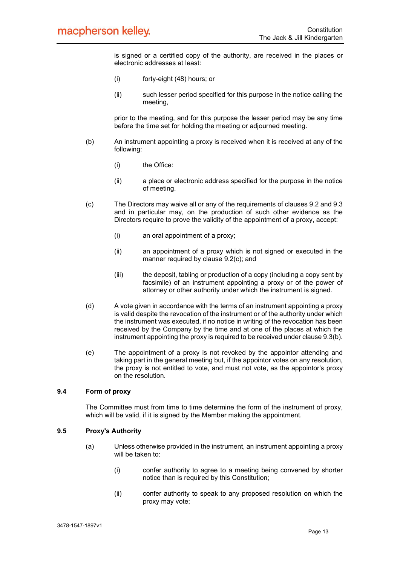is signed or a certified copy of the authority, are received in the places or electronic addresses at least:

- (i) forty-eight (48) hours; or
- (ii) such lesser period specified for this purpose in the notice calling the meeting,

prior to the meeting, and for this purpose the lesser period may be any time before the time set for holding the meeting or adjourned meeting.

- (b) An instrument appointing a proxy is received when it is received at any of the following:
	- (i) the Office:
	- (ii) a place or electronic address specified for the purpose in the notice of meeting.
- (c) The Directors may waive all or any of the requirements of clauses 9.2 and 9.3 and in particular may, on the production of such other evidence as the Directors require to prove the validity of the appointment of a proxy, accept:
	- (i) an oral appointment of a proxy;
	- (ii) an appointment of a proxy which is not signed or executed in the manner required by clause 9.2(c); and
	- (iii) the deposit, tabling or production of a copy (including a copy sent by facsimile) of an instrument appointing a proxy or of the power of attorney or other authority under which the instrument is signed.
- (d) A vote given in accordance with the terms of an instrument appointing a proxy is valid despite the revocation of the instrument or of the authority under which the instrument was executed, if no notice in writing of the revocation has been received by the Company by the time and at one of the places at which the instrument appointing the proxy is required to be received under clause 9.3(b).
- (e) The appointment of a proxy is not revoked by the appointor attending and taking part in the general meeting but, if the appointor votes on any resolution, the proxy is not entitled to vote, and must not vote, as the appointor's proxy on the resolution.

# 9.4 Form of proxy

The Committee must from time to time determine the form of the instrument of proxy, which will be valid, if it is signed by the Member making the appointment.

# 9.5 Proxy's Authority

- (a) Unless otherwise provided in the instrument, an instrument appointing a proxy will be taken to:
	- (i) confer authority to agree to a meeting being convened by shorter notice than is required by this Constitution;
	- (ii) confer authority to speak to any proposed resolution on which the proxy may vote;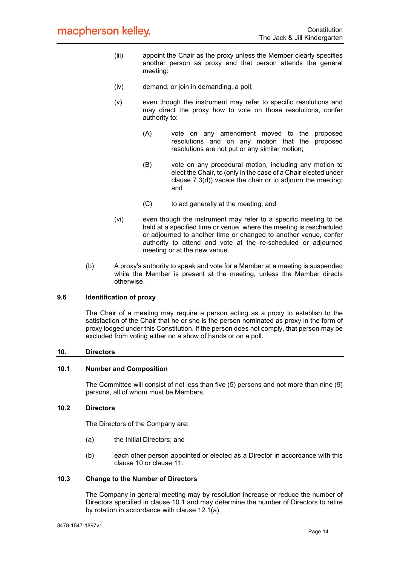- (iii) appoint the Chair as the proxy unless the Member clearly specifies another person as proxy and that person attends the general meeting:
- (iv) demand, or join in demanding, a poll;
- (v) even though the instrument may refer to specific resolutions and may direct the proxy how to vote on those resolutions, confer authority to:
	- (A) vote on any amendment moved to the proposed resolutions and on any motion that the proposed resolutions are not put or any similar motion;
	- (B) vote on any procedural motion, including any motion to elect the Chair, to (only in the case of a Chair elected under clause 7.3(d)) vacate the chair or to adjourn the meeting; and
	- (C) to act generally at the meeting; and
- (vi) even though the instrument may refer to a specific meeting to be held at a specified time or venue, where the meeting is rescheduled or adjourned to another time or changed to another venue, confer authority to attend and vote at the re-scheduled or adjourned meeting or at the new venue.
- (b) A proxy's authority to speak and vote for a Member at a meeting is suspended while the Member is present at the meeting, unless the Member directs otherwise.

# 9.6 Identification of proxy

The Chair of a meeting may require a person acting as a proxy to establish to the satisfaction of the Chair that he or she is the person nominated as proxy in the form of proxy lodged under this Constitution. If the person does not comply, that person may be excluded from voting either on a show of hands or on a poll.

#### 10. Directors

#### 10.1 Number and Composition

The Committee will consist of not less than five (5) persons and not more than nine (9) persons, all of whom must be Members.

#### 10.2 Directors

The Directors of the Company are:

- (a) the Initial Directors; and
- (b) each other person appointed or elected as a Director in accordance with this clause 10 or clause 11.

#### 10.3 Change to the Number of Directors

The Company in general meeting may by resolution increase or reduce the number of Directors specified in clause 10.1 and may determine the number of Directors to retire by rotation in accordance with clause 12.1(a).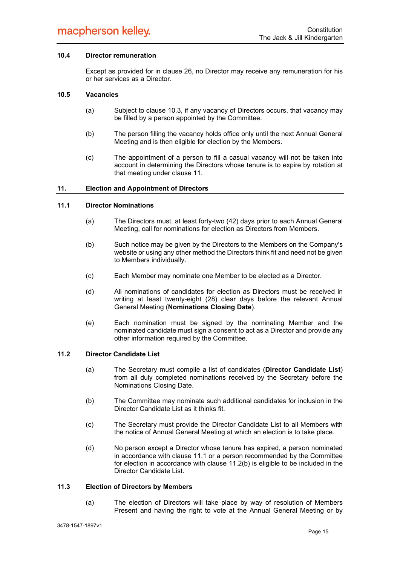# 10.4 Director remuneration

Except as provided for in clause 26, no Director may receive any remuneration for his or her services as a Director.

# 10.5 Vacancies

- (a) Subject to clause 10.3, if any vacancy of Directors occurs, that vacancy may be filled by a person appointed by the Committee.
- (b) The person filling the vacancy holds office only until the next Annual General Meeting and is then eligible for election by the Members.
- (c) The appointment of a person to fill a casual vacancy will not be taken into account in determining the Directors whose tenure is to expire by rotation at that meeting under clause 11.

#### 11. Election and Appointment of Directors

# 11.1 Director Nominations

- (a) The Directors must, at least forty-two (42) days prior to each Annual General Meeting, call for nominations for election as Directors from Members.
- (b) Such notice may be given by the Directors to the Members on the Company's website or using any other method the Directors think fit and need not be given to Members individually.
- (c) Each Member may nominate one Member to be elected as a Director.
- (d) All nominations of candidates for election as Directors must be received in writing at least twenty-eight (28) clear days before the relevant Annual General Meeting (Nominations Closing Date).
- (e) Each nomination must be signed by the nominating Member and the nominated candidate must sign a consent to act as a Director and provide any other information required by the Committee.

#### 11.2 Director Candidate List

- (a) The Secretary must compile a list of candidates (Director Candidate List) from all duly completed nominations received by the Secretary before the Nominations Closing Date.
- (b) The Committee may nominate such additional candidates for inclusion in the Director Candidate List as it thinks fit.
- (c) The Secretary must provide the Director Candidate List to all Members with the notice of Annual General Meeting at which an election is to take place.
- (d) No person except a Director whose tenure has expired, a person nominated in accordance with clause 11.1 or a person recommended by the Committee for election in accordance with clause 11.2(b) is eligible to be included in the Director Candidate List.

#### 11.3 Election of Directors by Members

(a) The election of Directors will take place by way of resolution of Members Present and having the right to vote at the Annual General Meeting or by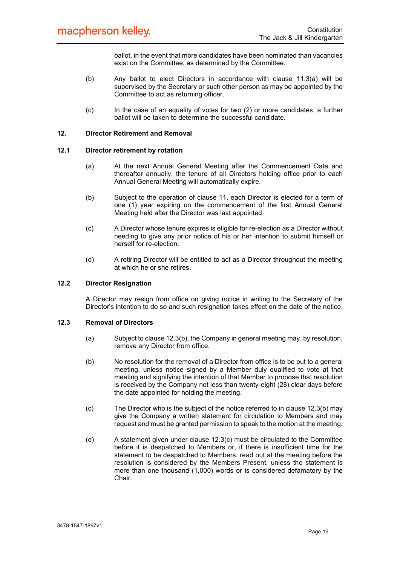ballot, in the event that more candidates have been nominated than vacancies exist on the Committee, as determined by the Committee.

- (b) Any ballot to elect Directors in accordance with clause 11.3(a) will be supervised by the Secretary or such other person as may be appointed by the Committee to act as returning officer.
- (c) In the case of an equality of votes for two (2) or more candidates, a further ballot will be taken to determine the successful candidate.

#### 12. Director Retirement and Removal

#### 12.1 Director retirement by rotation

- (a) At the next Annual General Meeting after the Commencement Date and thereafter annually, the tenure of all Directors holding office prior to each Annual General Meeting will automatically expire.
- (b) Subject to the operation of clause 11, each Director is elected for a term of one (1) year expiring on the commencement of the first Annual General Meeting held after the Director was last appointed.
- (c) A Director whose tenure expires is eligible for re-election as a Director without needing to give any prior notice of his or her intention to submit himself or herself for re-election.
- (d) A retiring Director will be entitled to act as a Director throughout the meeting at which he or she retires.

# 12.2 Director Resignation

A Director may resign from office on giving notice in writing to the Secretary of the Director's intention to do so and such resignation takes effect on the date of the notice.

#### 12.3 Removal of Directors

- (a) Subject to clause 12.3(b), the Company in general meeting may, by resolution, remove any Director from office.
- (b) No resolution for the removal of a Director from office is to be put to a general meeting, unless notice signed by a Member duly qualified to vote at that meeting and signifying the intention of that Member to propose that resolution is received by the Company not less than twenty-eight (28) clear days before the date appointed for holding the meeting.
- (c) The Director who is the subject of the notice referred to in clause 12.3(b) may give the Company a written statement for circulation to Members and may request and must be granted permission to speak to the motion at the meeting.
- (d) A statement given under clause 12.3(c) must be circulated to the Committee before it is despatched to Members or, if there is insufficient time for the statement to be despatched to Members, read out at the meeting before the resolution is considered by the Members Present, unless the statement is more than one thousand (1,000) words or is considered defamatory by the Chair.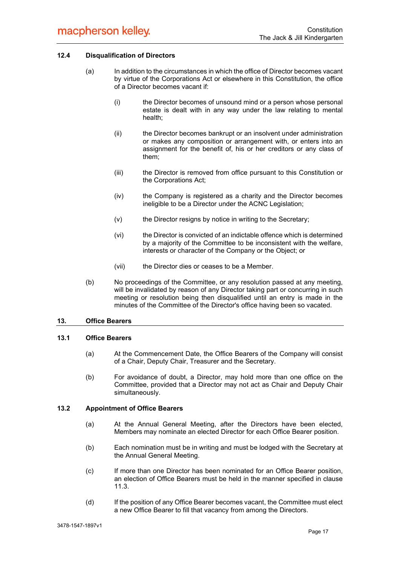# 12.4 Disqualification of Directors

- (a) In addition to the circumstances in which the office of Director becomes vacant by virtue of the Corporations Act or elsewhere in this Constitution, the office of a Director becomes vacant if:
	- (i) the Director becomes of unsound mind or a person whose personal estate is dealt with in any way under the law relating to mental health;
	- (ii) the Director becomes bankrupt or an insolvent under administration or makes any composition or arrangement with, or enters into an assignment for the benefit of, his or her creditors or any class of them;
	- (iii) the Director is removed from office pursuant to this Constitution or the Corporations Act;
	- (iv) the Company is registered as a charity and the Director becomes ineligible to be a Director under the ACNC Legislation;
	- $(v)$  the Director resigns by notice in writing to the Secretary;
	- (vi) the Director is convicted of an indictable offence which is determined by a majority of the Committee to be inconsistent with the welfare, interests or character of the Company or the Object; or
	- (vii) the Director dies or ceases to be a Member.
- (b) No proceedings of the Committee, or any resolution passed at any meeting, will be invalidated by reason of any Director taking part or concurring in such meeting or resolution being then disqualified until an entry is made in the minutes of the Committee of the Director's office having been so vacated.

#### 13. Office Bearers

#### 13.1 Office Bearers

- (a) At the Commencement Date, the Office Bearers of the Company will consist of a Chair, Deputy Chair, Treasurer and the Secretary.
- (b) For avoidance of doubt, a Director, may hold more than one office on the Committee, provided that a Director may not act as Chair and Deputy Chair simultaneously.

# 13.2 Appointment of Office Bearers

- (a) At the Annual General Meeting, after the Directors have been elected, Members may nominate an elected Director for each Office Bearer position.
- (b) Each nomination must be in writing and must be lodged with the Secretary at the Annual General Meeting.
- (c) If more than one Director has been nominated for an Office Bearer position, an election of Office Bearers must be held in the manner specified in clause 11.3.
- (d) If the position of any Office Bearer becomes vacant, the Committee must elect a new Office Bearer to fill that vacancy from among the Directors.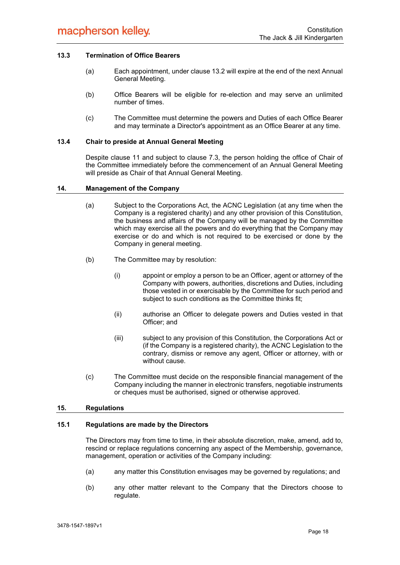# 13.3 Termination of Office Bearers

- (a) Each appointment, under clause 13.2 will expire at the end of the next Annual General Meeting.
- (b) Office Bearers will be eligible for re-election and may serve an unlimited number of times.
- (c) The Committee must determine the powers and Duties of each Office Bearer and may terminate a Director's appointment as an Office Bearer at any time.

#### 13.4 Chair to preside at Annual General Meeting

Despite clause 11 and subject to clause 7.3, the person holding the office of Chair of the Committee immediately before the commencement of an Annual General Meeting will preside as Chair of that Annual General Meeting.

#### 14. Management of the Company

- (a) Subject to the Corporations Act, the ACNC Legislation (at any time when the Company is a registered charity) and any other provision of this Constitution, the business and affairs of the Company will be managed by the Committee which may exercise all the powers and do everything that the Company may exercise or do and which is not required to be exercised or done by the Company in general meeting.
- (b) The Committee may by resolution:
	- (i) appoint or employ a person to be an Officer, agent or attorney of the Company with powers, authorities, discretions and Duties, including those vested in or exercisable by the Committee for such period and subject to such conditions as the Committee thinks fit;
	- (ii) authorise an Officer to delegate powers and Duties vested in that Officer; and
	- (iii) subject to any provision of this Constitution, the Corporations Act or (if the Company is a registered charity), the ACNC Legislation to the contrary, dismiss or remove any agent, Officer or attorney, with or without cause.
- (c) The Committee must decide on the responsible financial management of the Company including the manner in electronic transfers, negotiable instruments or cheques must be authorised, signed or otherwise approved.

#### 15. Regulations

# 15.1 Regulations are made by the Directors

The Directors may from time to time, in their absolute discretion, make, amend, add to, rescind or replace regulations concerning any aspect of the Membership, governance, management, operation or activities of the Company including:

- (a) any matter this Constitution envisages may be governed by regulations; and
- (b) any other matter relevant to the Company that the Directors choose to regulate.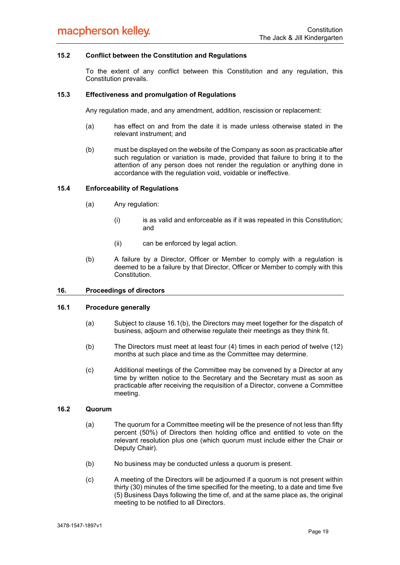# 15.2 Conflict between the Constitution and Regulations

To the extent of any conflict between this Constitution and any regulation, this Constitution prevails.

# 15.3 Effectiveness and promulgation of Regulations

Any regulation made, and any amendment, addition, rescission or replacement:

- (a) has effect on and from the date it is made unless otherwise stated in the relevant instrument; and
- (b) must be displayed on the website of the Company as soon as practicable after such regulation or variation is made, provided that failure to bring it to the attention of any person does not render the regulation or anything done in accordance with the regulation void, voidable or ineffective.

# 15.4 Enforceability of Regulations

- (a) Any regulation:
	- (i) is as valid and enforceable as if it was repeated in this Constitution; and
	- (ii) can be enforced by legal action.
- (b) A failure by a Director, Officer or Member to comply with a regulation is deemed to be a failure by that Director, Officer or Member to comply with this Constitution.

# 16. Proceedings of directors

# 16.1 Procedure generally

- (a) Subject to clause 16.1(b), the Directors may meet together for the dispatch of business, adjourn and otherwise regulate their meetings as they think fit.
- (b) The Directors must meet at least four (4) times in each period of twelve (12) months at such place and time as the Committee may determine.
- (c) Additional meetings of the Committee may be convened by a Director at any time by written notice to the Secretary and the Secretary must as soon as practicable after receiving the requisition of a Director, convene a Committee meeting.

# 16.2 Quorum

- (a) The quorum for a Committee meeting will be the presence of not less than fifty percent (50%) of Directors then holding office and entitled to vote on the relevant resolution plus one (which quorum must include either the Chair or Deputy Chair).
- (b) No business may be conducted unless a quorum is present.
- (c) A meeting of the Directors will be adjourned if a quorum is not present within thirty (30) minutes of the time specified for the meeting, to a date and time five (5) Business Days following the time of, and at the same place as, the original meeting to be notified to all Directors.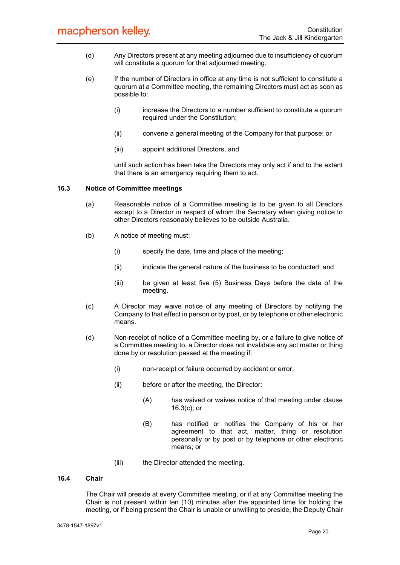- (d) Any Directors present at any meeting adjourned due to insufficiency of quorum will constitute a quorum for that adjourned meeting.
- (e) If the number of Directors in office at any time is not sufficient to constitute a quorum at a Committee meeting, the remaining Directors must act as soon as possible to:
	- (i) increase the Directors to a number sufficient to constitute a quorum required under the Constitution;
	- (ii) convene a general meeting of the Company for that purpose; or
	- (iii) appoint additional Directors, and

until such action has been take the Directors may only act if and to the extent that there is an emergency requiring them to act.

# 16.3 Notice of Committee meetings

- (a) Reasonable notice of a Committee meeting is to be given to all Directors except to a Director in respect of whom the Secretary when giving notice to other Directors reasonably believes to be outside Australia.
- (b) A notice of meeting must:
	- (i) specify the date, time and place of the meeting;
	- (ii) indicate the general nature of the business to be conducted; and
	- (iii) be given at least five (5) Business Days before the date of the meeting.
- (c) A Director may waive notice of any meeting of Directors by notifying the Company to that effect in person or by post, or by telephone or other electronic means.
- (d) Non-receipt of notice of a Committee meeting by, or a failure to give notice of a Committee meeting to, a Director does not invalidate any act matter or thing done by or resolution passed at the meeting if:
	- (i) non-receipt or failure occurred by accident or error;
	- (ii) before or after the meeting, the Director:
		- (A) has waived or waives notice of that meeting under clause 16.3(c); or
		- (B) has notified or notifies the Company of his or her agreement to that act, matter, thing or resolution personally or by post or by telephone or other electronic means; or
	- (iii) the Director attended the meeting.

#### 16.4 Chair

The Chair will preside at every Committee meeting, or if at any Committee meeting the Chair is not present within ten (10) minutes after the appointed time for holding the meeting, or if being present the Chair is unable or unwilling to preside, the Deputy Chair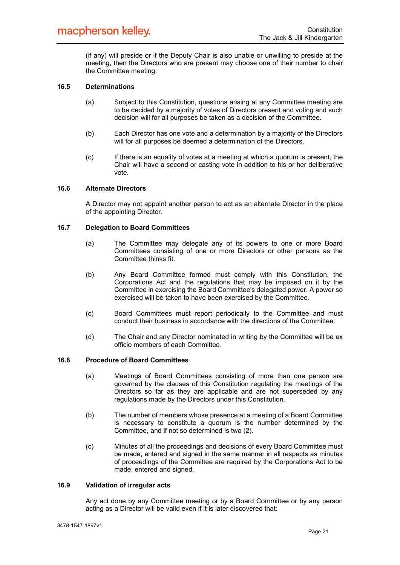(if any) will preside or if the Deputy Chair is also unable or unwilling to preside at the meeting, then the Directors who are present may choose one of their number to chair the Committee meeting.

# 16.5 Determinations

- (a) Subject to this Constitution, questions arising at any Committee meeting are to be decided by a majority of votes of Directors present and voting and such decision will for all purposes be taken as a decision of the Committee.
- (b) Each Director has one vote and a determination by a majority of the Directors will for all purposes be deemed a determination of the Directors.
- (c) If there is an equality of votes at a meeting at which a quorum is present, the Chair will have a second or casting vote in addition to his or her deliberative vote.

#### 16.6 Alternate Directors

A Director may not appoint another person to act as an alternate Director in the place of the appointing Director.

#### 16.7 Delegation to Board Committees

- (a) The Committee may delegate any of its powers to one or more Board Committees consisting of one or more Directors or other persons as the Committee thinks fit.
- (b) Any Board Committee formed must comply with this Constitution, the Corporations Act and the regulations that may be imposed on it by the Committee in exercising the Board Committee's delegated power. A power so exercised will be taken to have been exercised by the Committee.
- (c) Board Committees must report periodically to the Committee and must conduct their business in accordance with the directions of the Committee.
- (d) The Chair and any Director nominated in writing by the Committee will be ex officio members of each Committee.

# 16.8 Procedure of Board Committees

- (a) Meetings of Board Committees consisting of more than one person are governed by the clauses of this Constitution regulating the meetings of the Directors so far as they are applicable and are not superseded by any regulations made by the Directors under this Constitution.
- (b) The number of members whose presence at a meeting of a Board Committee is necessary to constitute a quorum is the number determined by the Committee, and if not so determined is two (2).
- (c) Minutes of all the proceedings and decisions of every Board Committee must be made, entered and signed in the same manner in all respects as minutes of proceedings of the Committee are required by the Corporations Act to be made, entered and signed.

# 16.9 Validation of irregular acts

Any act done by any Committee meeting or by a Board Committee or by any person acting as a Director will be valid even if it is later discovered that: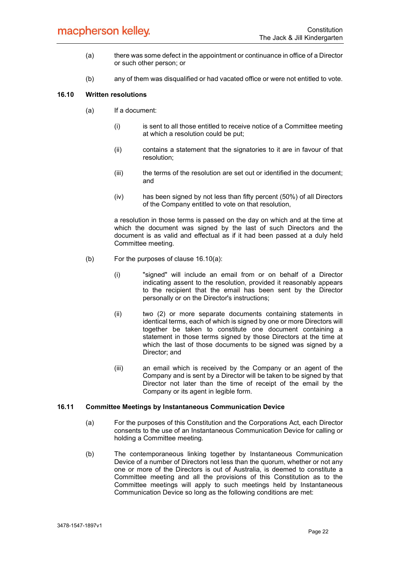# macpherson kelley.

- (a) there was some defect in the appointment or continuance in office of a Director or such other person; or
- (b) any of them was disqualified or had vacated office or were not entitled to vote.

# 16.10 Written resolutions

- (a) If a document:
	- (i) is sent to all those entitled to receive notice of a Committee meeting at which a resolution could be put;
	- (ii) contains a statement that the signatories to it are in favour of that resolution;
	- (iii) the terms of the resolution are set out or identified in the document; and
	- (iv) has been signed by not less than fifty percent (50%) of all Directors of the Company entitled to vote on that resolution,

a resolution in those terms is passed on the day on which and at the time at which the document was signed by the last of such Directors and the document is as valid and effectual as if it had been passed at a duly held Committee meeting.

- (b) For the purposes of clause 16.10(a):
	- (i) "signed" will include an email from or on behalf of a Director indicating assent to the resolution, provided it reasonably appears to the recipient that the email has been sent by the Director personally or on the Director's instructions;
	- (ii) two (2) or more separate documents containing statements in identical terms, each of which is signed by one or more Directors will together be taken to constitute one document containing a statement in those terms signed by those Directors at the time at which the last of those documents to be signed was signed by a Director; and
	- (iii) an email which is received by the Company or an agent of the Company and is sent by a Director will be taken to be signed by that Director not later than the time of receipt of the email by the Company or its agent in legible form.

# 16.11 Committee Meetings by Instantaneous Communication Device

- (a) For the purposes of this Constitution and the Corporations Act, each Director consents to the use of an Instantaneous Communication Device for calling or holding a Committee meeting.
- (b) The contemporaneous linking together by Instantaneous Communication Device of a number of Directors not less than the quorum, whether or not any one or more of the Directors is out of Australia, is deemed to constitute a Committee meeting and all the provisions of this Constitution as to the Committee meetings will apply to such meetings held by Instantaneous Communication Device so long as the following conditions are met: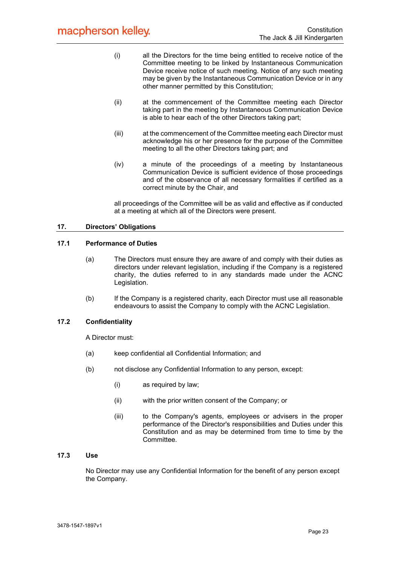- (i) all the Directors for the time being entitled to receive notice of the Committee meeting to be linked by Instantaneous Communication Device receive notice of such meeting. Notice of any such meeting may be given by the Instantaneous Communication Device or in any other manner permitted by this Constitution;
- (ii) at the commencement of the Committee meeting each Director taking part in the meeting by Instantaneous Communication Device is able to hear each of the other Directors taking part;
- (iii) at the commencement of the Committee meeting each Director must acknowledge his or her presence for the purpose of the Committee meeting to all the other Directors taking part; and
- (iv) a minute of the proceedings of a meeting by Instantaneous Communication Device is sufficient evidence of those proceedings and of the observance of all necessary formalities if certified as a correct minute by the Chair, and

all proceedings of the Committee will be as valid and effective as if conducted at a meeting at which all of the Directors were present.

# 17. Directors' Obligations

# 17.1 Performance of Duties

- (a) The Directors must ensure they are aware of and comply with their duties as directors under relevant legislation, including if the Company is a registered charity, the duties referred to in any standards made under the ACNC Legislation.
- (b) If the Company is a registered charity, each Director must use all reasonable endeavours to assist the Company to comply with the ACNC Legislation.

# 17.2 Confidentiality

A Director must:

- (a) keep confidential all Confidential Information; and
- (b) not disclose any Confidential Information to any person, except:
	- (i) as required by law;
	- (ii) with the prior written consent of the Company; or
	- (iii) to the Company's agents, employees or advisers in the proper performance of the Director's responsibilities and Duties under this Constitution and as may be determined from time to time by the Committee.

# 17.3 Use

No Director may use any Confidential Information for the benefit of any person except the Company.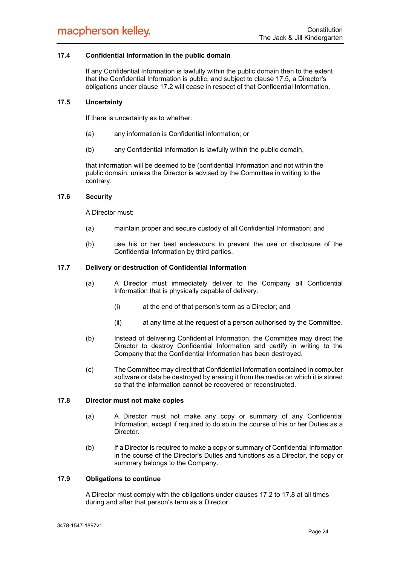# 17.4 Confidential Information in the public domain

If any Confidential Information is lawfully within the public domain then to the extent that the Confidential Information is public, and subject to clause 17.5, a Director's obligations under clause 17.2 will cease in respect of that Confidential Information.

#### 17.5 Uncertainty

If there is uncertainty as to whether:

- (a) any information is Confidential information; or
- (b) any Confidential Information is lawfully within the public domain,

that information will be deemed to be (confidential Information and not within the public domain, unless the Director is advised by the Committee in writing to the contrary.

# 17.6 Security

A Director must:

- (a) maintain proper and secure custody of all Confidential Information; and
- (b) use his or her best endeavours to prevent the use or disclosure of the Confidential Information by third parties.

# 17.7 Delivery or destruction of Confidential Information

- (a) A Director must immediately deliver to the Company all Confidential Information that is physically capable of delivery:
	- (i) at the end of that person's term as a Director; and
	- (ii) at any time at the request of a person authorised by the Committee.
- (b) Instead of delivering Confidential Information, the Committee may direct the Director to destroy Confidential Information and certify in writing to the Company that the Confidential Information has been destroyed.
- (c) The Committee may direct that Confidential Information contained in computer software or data be destroyed by erasing it from the media on which it is stored so that the information cannot be recovered or reconstructed.

# 17.8 Director must not make copies

- (a) A Director must not make any copy or summary of any Confidential Information, except if required to do so in the course of his or her Duties as a **Director**
- (b) If a Director is required to make a copy or summary of Confidential Information in the course of the Director's Duties and functions as a Director, the copy or summary belongs to the Company.

# 17.9 Obligations to continue

A Director must comply with the obligations under clauses 17.2 to 17.8 at all times during and after that person's term as a Director.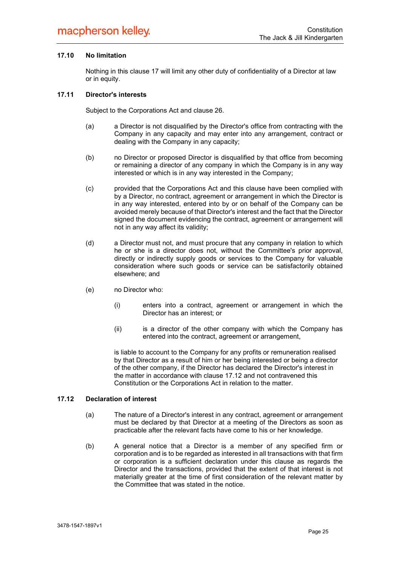# 17.10 No limitation

Nothing in this clause 17 will limit any other duty of confidentiality of a Director at law or in equity.

# 17.11 Director's interests

Subject to the Corporations Act and clause 26.

- (a) a Director is not disqualified by the Director's office from contracting with the Company in any capacity and may enter into any arrangement, contract or dealing with the Company in any capacity;
- (b) no Director or proposed Director is disqualified by that office from becoming or remaining a director of any company in which the Company is in any way interested or which is in any way interested in the Company;
- (c) provided that the Corporations Act and this clause have been complied with by a Director, no contract, agreement or arrangement in which the Director is in any way interested, entered into by or on behalf of the Company can be avoided merely because of that Director's interest and the fact that the Director signed the document evidencing the contract, agreement or arrangement will not in any way affect its validity;
- (d) a Director must not, and must procure that any company in relation to which he or she is a director does not, without the Committee's prior approval, directly or indirectly supply goods or services to the Company for valuable consideration where such goods or service can be satisfactorily obtained elsewhere; and
- (e) no Director who:
	- (i) enters into a contract, agreement or arrangement in which the Director has an interest; or
	- $(ii)$  is a director of the other company with which the Company has entered into the contract, agreement or arrangement,

is liable to account to the Company for any profits or remuneration realised by that Director as a result of him or her being interested or being a director of the other company, if the Director has declared the Director's interest in the matter in accordance with clause 17.12 and not contravened this Constitution or the Corporations Act in relation to the matter.

#### 17.12 Declaration of interest

- (a) The nature of a Director's interest in any contract, agreement or arrangement must be declared by that Director at a meeting of the Directors as soon as practicable after the relevant facts have come to his or her knowledge.
- (b) A general notice that a Director is a member of any specified firm or corporation and is to be regarded as interested in all transactions with that firm or corporation is a sufficient declaration under this clause as regards the Director and the transactions, provided that the extent of that interest is not materially greater at the time of first consideration of the relevant matter by the Committee that was stated in the notice.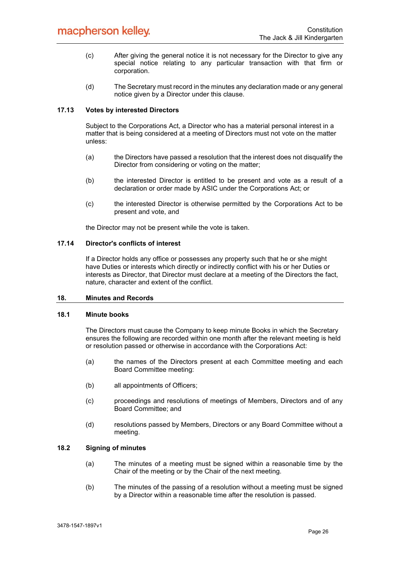- (c) After giving the general notice it is not necessary for the Director to give any special notice relating to any particular transaction with that firm or corporation.
- (d) The Secretary must record in the minutes any declaration made or any general notice given by a Director under this clause.

# 17.13 Votes by interested Directors

Subject to the Corporations Act, a Director who has a material personal interest in a matter that is being considered at a meeting of Directors must not vote on the matter unless:

- (a) the Directors have passed a resolution that the interest does not disqualify the Director from considering or voting on the matter;
- (b) the interested Director is entitled to be present and vote as a result of a declaration or order made by ASIC under the Corporations Act; or
- (c) the interested Director is otherwise permitted by the Corporations Act to be present and vote, and

the Director may not be present while the vote is taken.

# 17.14 Director's conflicts of interest

If a Director holds any office or possesses any property such that he or she might have Duties or interests which directly or indirectly conflict with his or her Duties or interests as Director, that Director must declare at a meeting of the Directors the fact, nature, character and extent of the conflict.

# 18. Minutes and Records

#### 18.1 Minute books

The Directors must cause the Company to keep minute Books in which the Secretary ensures the following are recorded within one month after the relevant meeting is held or resolution passed or otherwise in accordance with the Corporations Act:

- (a) the names of the Directors present at each Committee meeting and each Board Committee meeting:
- (b) all appointments of Officers;
- (c) proceedings and resolutions of meetings of Members, Directors and of any Board Committee; and
- (d) resolutions passed by Members, Directors or any Board Committee without a meeting.

#### 18.2 Signing of minutes

- (a) The minutes of a meeting must be signed within a reasonable time by the Chair of the meeting or by the Chair of the next meeting.
- (b) The minutes of the passing of a resolution without a meeting must be signed by a Director within a reasonable time after the resolution is passed.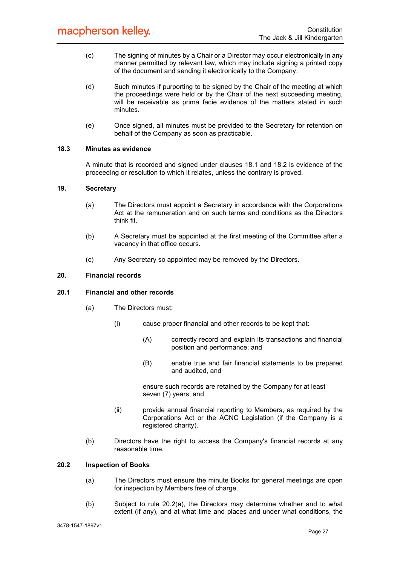- (c) The signing of minutes by a Chair or a Director may occur electronically in any manner permitted by relevant law, which may include signing a printed copy of the document and sending it electronically to the Company.
- (d) Such minutes if purporting to be signed by the Chair of the meeting at which the proceedings were held or by the Chair of the next succeeding meeting, will be receivable as prima facie evidence of the matters stated in such minutes.
- (e) Once signed, all minutes must be provided to the Secretary for retention on behalf of the Company as soon as practicable.

# 18.3 Minutes as evidence

A minute that is recorded and signed under clauses 18.1 and 18.2 is evidence of the proceeding or resolution to which it relates, unless the contrary is proved.

#### 19. Secretary

- (a) The Directors must appoint a Secretary in accordance with the Corporations Act at the remuneration and on such terms and conditions as the Directors think fit.
- (b) A Secretary must be appointed at the first meeting of the Committee after a vacancy in that office occurs.
- (c) Any Secretary so appointed may be removed by the Directors.

# 20. Financial records

# 20.1 Financial and other records

- (a) The Directors must:
	- (i) cause proper financial and other records to be kept that:
		- (A) correctly record and explain its transactions and financial position and performance; and
		- (B) enable true and fair financial statements to be prepared and audited, and

ensure such records are retained by the Company for at least seven (7) years; and

- (ii) provide annual financial reporting to Members, as required by the Corporations Act or the ACNC Legislation (if the Company is a registered charity).
- (b) Directors have the right to access the Company's financial records at any reasonable time.

# 20.2 Inspection of Books

- (a) The Directors must ensure the minute Books for general meetings are open for inspection by Members free of charge.
- (b) Subject to rule 20.2(a), the Directors may determine whether and to what extent (if any), and at what time and places and under what conditions, the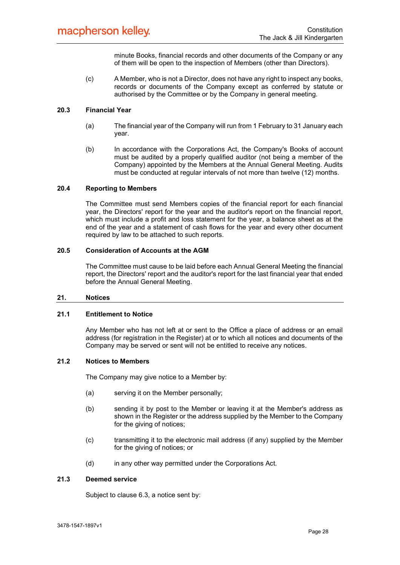minute Books, financial records and other documents of the Company or any of them will be open to the inspection of Members (other than Directors).

(c) A Member, who is not a Director, does not have any right to inspect any books, records or documents of the Company except as conferred by statute or authorised by the Committee or by the Company in general meeting.

# 20.3 Financial Year

- (a) The financial year of the Company will run from 1 February to 31 January each year.
- (b) In accordance with the Corporations Act, the Company's Books of account must be audited by a properly qualified auditor (not being a member of the Company) appointed by the Members at the Annual General Meeting. Audits must be conducted at regular intervals of not more than twelve (12) months.

# 20.4 Reporting to Members

The Committee must send Members copies of the financial report for each financial year, the Directors' report for the year and the auditor's report on the financial report, which must include a profit and loss statement for the year, a balance sheet as at the end of the year and a statement of cash flows for the year and every other document required by law to be attached to such reports.

#### 20.5 Consideration of Accounts at the AGM

The Committee must cause to be laid before each Annual General Meeting the financial report, the Directors' report and the auditor's report for the last financial year that ended before the Annual General Meeting.

# 21. Notices

# 21.1 Entitlement to Notice

Any Member who has not left at or sent to the Office a place of address or an email address (for registration in the Register) at or to which all notices and documents of the Company may be served or sent will not be entitled to receive any notices.

# 21.2 Notices to Members

The Company may give notice to a Member by:

- (a) serving it on the Member personally;
- (b) sending it by post to the Member or leaving it at the Member's address as shown in the Register or the address supplied by the Member to the Company for the giving of notices;
- (c) transmitting it to the electronic mail address (if any) supplied by the Member for the giving of notices; or
- (d) in any other way permitted under the Corporations Act.

#### 21.3 Deemed service

Subject to clause 6.3, a notice sent by: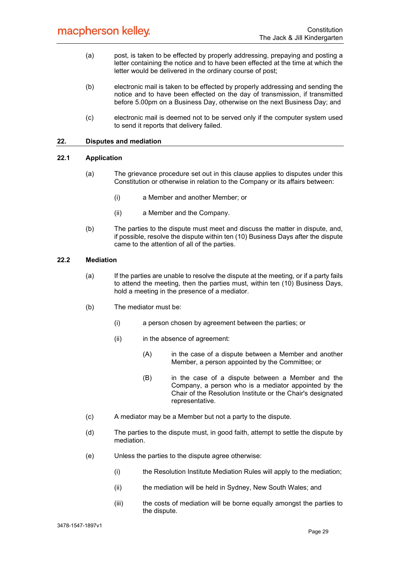- (a) post, is taken to be effected by properly addressing, prepaying and posting a letter containing the notice and to have been effected at the time at which the letter would be delivered in the ordinary course of post;
- (b) electronic mail is taken to be effected by properly addressing and sending the notice and to have been effected on the day of transmission, if transmitted before 5.00pm on a Business Day, otherwise on the next Business Day; and
- (c) electronic mail is deemed not to be served only if the computer system used to send it reports that delivery failed.

# 22. Disputes and mediation

# 22.1 Application

- (a) The grievance procedure set out in this clause applies to disputes under this Constitution or otherwise in relation to the Company or its affairs between:
	- (i) a Member and another Member; or
	- (ii) a Member and the Company.
- (b) The parties to the dispute must meet and discuss the matter in dispute, and, if possible, resolve the dispute within ten (10) Business Days after the dispute came to the attention of all of the parties.

# 22.2 Mediation

- (a) If the parties are unable to resolve the dispute at the meeting, or if a party fails to attend the meeting, then the parties must, within ten (10) Business Days, hold a meeting in the presence of a mediator.
- (b) The mediator must be:
	- (i) a person chosen by agreement between the parties; or
	- (ii) in the absence of agreement:
		- (A) in the case of a dispute between a Member and another Member, a person appointed by the Committee; or
		- (B) in the case of a dispute between a Member and the Company, a person who is a mediator appointed by the Chair of the Resolution Institute or the Chair's designated representative.
- (c) A mediator may be a Member but not a party to the dispute.
- (d) The parties to the dispute must, in good faith, attempt to settle the dispute by mediation.
- (e) Unless the parties to the dispute agree otherwise:
	- (i) the Resolution Institute Mediation Rules will apply to the mediation;
	- (ii) the mediation will be held in Sydney, New South Wales; and
	- (iii) the costs of mediation will be borne equally amongst the parties to the dispute.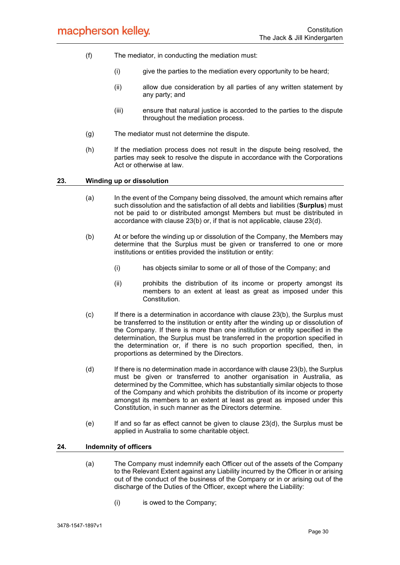- (f) The mediator, in conducting the mediation must:
	- (i) give the parties to the mediation every opportunity to be heard;
	- (ii) allow due consideration by all parties of any written statement by any party; and
	- (iii) ensure that natural justice is accorded to the parties to the dispute throughout the mediation process.
- (g) The mediator must not determine the dispute.
- (h) If the mediation process does not result in the dispute being resolved, the parties may seek to resolve the dispute in accordance with the Corporations Act or otherwise at law.

#### 23. Winding up or dissolution

- (a) In the event of the Company being dissolved, the amount which remains after such dissolution and the satisfaction of all debts and liabilities (**Surplus**) must not be paid to or distributed amongst Members but must be distributed in accordance with clause 23(b) or, if that is not applicable, clause 23(d).
- (b) At or before the winding up or dissolution of the Company, the Members may determine that the Surplus must be given or transferred to one or more institutions or entities provided the institution or entity:
	- (i) has objects similar to some or all of those of the Company; and
	- (ii) prohibits the distribution of its income or property amongst its members to an extent at least as great as imposed under this Constitution.
- (c) If there is a determination in accordance with clause 23(b), the Surplus must be transferred to the institution or entity after the winding up or dissolution of the Company. If there is more than one institution or entity specified in the determination, the Surplus must be transferred in the proportion specified in the determination or, if there is no such proportion specified, then, in proportions as determined by the Directors.
- (d) If there is no determination made in accordance with clause 23(b), the Surplus must be given or transferred to another organisation in Australia, as determined by the Committee, which has substantially similar objects to those of the Company and which prohibits the distribution of its income or property amongst its members to an extent at least as great as imposed under this Constitution, in such manner as the Directors determine.
- (e) If and so far as effect cannot be given to clause 23(d), the Surplus must be applied in Australia to some charitable object.

#### 24. Indemnity of officers

- (a) The Company must indemnify each Officer out of the assets of the Company to the Relevant Extent against any Liability incurred by the Officer in or arising out of the conduct of the business of the Company or in or arising out of the discharge of the Duties of the Officer, except where the Liability:
	- (i) is owed to the Company;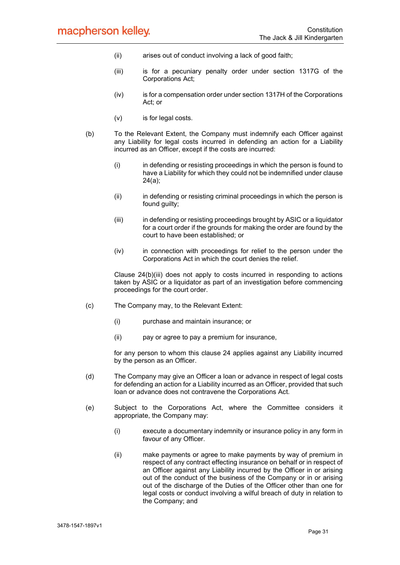- (ii) arises out of conduct involving a lack of good faith;
- (iii) is for a pecuniary penalty order under section 1317G of the Corporations Act;
- (iv) is for a compensation order under section 1317H of the Corporations Act; or
- (v) is for legal costs.
- (b) To the Relevant Extent, the Company must indemnify each Officer against any Liability for legal costs incurred in defending an action for a Liability incurred as an Officer, except if the costs are incurred:
	- (i) in defending or resisting proceedings in which the person is found to have a Liability for which they could not be indemnified under clause 24(a);
	- (ii) in defending or resisting criminal proceedings in which the person is found guilty;
	- (iii) in defending or resisting proceedings brought by ASIC or a liquidator for a court order if the grounds for making the order are found by the court to have been established; or
	- (iv) in connection with proceedings for relief to the person under the Corporations Act in which the court denies the relief.

Clause 24(b)(iii) does not apply to costs incurred in responding to actions taken by ASIC or a liquidator as part of an investigation before commencing proceedings for the court order.

- (c) The Company may, to the Relevant Extent:
	- (i) purchase and maintain insurance; or
	- (ii) pay or agree to pay a premium for insurance,

for any person to whom this clause 24 applies against any Liability incurred by the person as an Officer.

- (d) The Company may give an Officer a loan or advance in respect of legal costs for defending an action for a Liability incurred as an Officer, provided that such loan or advance does not contravene the Corporations Act.
- (e) Subject to the Corporations Act, where the Committee considers it appropriate, the Company may:
	- (i) execute a documentary indemnity or insurance policy in any form in favour of any Officer.
	- (ii) make payments or agree to make payments by way of premium in respect of any contract effecting insurance on behalf or in respect of an Officer against any Liability incurred by the Officer in or arising out of the conduct of the business of the Company or in or arising out of the discharge of the Duties of the Officer other than one for legal costs or conduct involving a wilful breach of duty in relation to the Company; and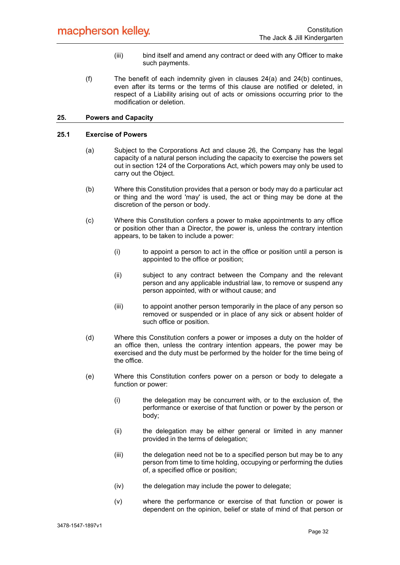- (iii) bind itself and amend any contract or deed with any Officer to make such payments.
- (f) The benefit of each indemnity given in clauses 24(a) and 24(b) continues, even after its terms or the terms of this clause are notified or deleted, in respect of a Liability arising out of acts or omissions occurring prior to the modification or deletion.

# 25. Powers and Capacity

#### 25.1 Exercise of Powers

- (a) Subject to the Corporations Act and clause 26, the Company has the legal capacity of a natural person including the capacity to exercise the powers set out in section 124 of the Corporations Act, which powers may only be used to carry out the Object.
- (b) Where this Constitution provides that a person or body may do a particular act or thing and the word 'may' is used, the act or thing may be done at the discretion of the person or body.
- (c) Where this Constitution confers a power to make appointments to any office or position other than a Director, the power is, unless the contrary intention appears, to be taken to include a power:
	- (i) to appoint a person to act in the office or position until a person is appointed to the office or position;
	- (ii) subject to any contract between the Company and the relevant person and any applicable industrial law, to remove or suspend any person appointed, with or without cause; and
	- (iii) to appoint another person temporarily in the place of any person so removed or suspended or in place of any sick or absent holder of such office or position.
- (d) Where this Constitution confers a power or imposes a duty on the holder of an office then, unless the contrary intention appears, the power may be exercised and the duty must be performed by the holder for the time being of the office.
- (e) Where this Constitution confers power on a person or body to delegate a function or power:
	- (i) the delegation may be concurrent with, or to the exclusion of, the performance or exercise of that function or power by the person or body;
	- (ii) the delegation may be either general or limited in any manner provided in the terms of delegation;
	- (iii) the delegation need not be to a specified person but may be to any person from time to time holding, occupying or performing the duties of, a specified office or position;
	- (iv) the delegation may include the power to delegate;
	- (v) where the performance or exercise of that function or power is dependent on the opinion, belief or state of mind of that person or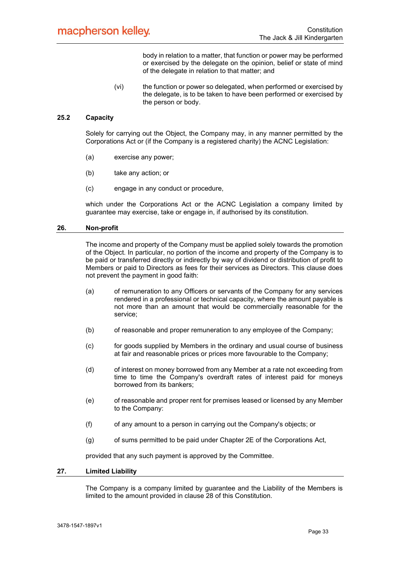body in relation to a matter, that function or power may be performed or exercised by the delegate on the opinion, belief or state of mind of the delegate in relation to that matter; and

(vi) the function or power so delegated, when performed or exercised by the delegate, is to be taken to have been performed or exercised by the person or body.

# 25.2 Capacity

Solely for carrying out the Object, the Company may, in any manner permitted by the Corporations Act or (if the Company is a registered charity) the ACNC Legislation:

- (a) exercise any power;
- (b) take any action; or
- (c) engage in any conduct or procedure,

which under the Corporations Act or the ACNC Legislation a company limited by guarantee may exercise, take or engage in, if authorised by its constitution.

#### 26. Non-profit

The income and property of the Company must be applied solely towards the promotion of the Object. In particular, no portion of the income and property of the Company is to be paid or transferred directly or indirectly by way of dividend or distribution of profit to Members or paid to Directors as fees for their services as Directors. This clause does not prevent the payment in good faith:

- (a) of remuneration to any Officers or servants of the Company for any services rendered in a professional or technical capacity, where the amount payable is not more than an amount that would be commercially reasonable for the service;
- (b) of reasonable and proper remuneration to any employee of the Company;
- (c) for goods supplied by Members in the ordinary and usual course of business at fair and reasonable prices or prices more favourable to the Company;
- (d) of interest on money borrowed from any Member at a rate not exceeding from time to time the Company's overdraft rates of interest paid for moneys borrowed from its bankers;
- (e) of reasonable and proper rent for premises leased or licensed by any Member to the Company:
- (f) of any amount to a person in carrying out the Company's objects; or
- (g) of sums permitted to be paid under Chapter 2E of the Corporations Act,

provided that any such payment is approved by the Committee.

#### 27. Limited Liability

The Company is a company limited by guarantee and the Liability of the Members is limited to the amount provided in clause 28 of this Constitution.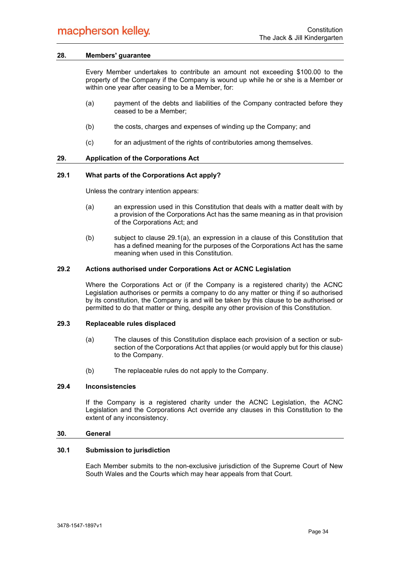# 28. Members' guarantee

Every Member undertakes to contribute an amount not exceeding \$100.00 to the property of the Company if the Company is wound up while he or she is a Member or within one year after ceasing to be a Member, for:

- (a) payment of the debts and liabilities of the Company contracted before they ceased to be a Member;
- (b) the costs, charges and expenses of winding up the Company; and
- (c) for an adjustment of the rights of contributories among themselves.

# 29. Application of the Corporations Act

# 29.1 What parts of the Corporations Act apply?

Unless the contrary intention appears:

- (a) an expression used in this Constitution that deals with a matter dealt with by a provision of the Corporations Act has the same meaning as in that provision of the Corporations Act; and
- (b) subject to clause 29.1(a), an expression in a clause of this Constitution that has a defined meaning for the purposes of the Corporations Act has the same meaning when used in this Constitution.

#### 29.2 Actions authorised under Corporations Act or ACNC Legislation

Where the Corporations Act or (if the Company is a registered charity) the ACNC Legislation authorises or permits a company to do any matter or thing if so authorised by its constitution, the Company is and will be taken by this clause to be authorised or permitted to do that matter or thing, despite any other provision of this Constitution.

#### 29.3 Replaceable rules displaced

- (a) The clauses of this Constitution displace each provision of a section or subsection of the Corporations Act that applies (or would apply but for this clause) to the Company.
- (b) The replaceable rules do not apply to the Company.

# 29.4 Inconsistencies

If the Company is a registered charity under the ACNC Legislation, the ACNC Legislation and the Corporations Act override any clauses in this Constitution to the extent of any inconsistency.

#### 30. General

#### 30.1 Submission to jurisdiction

Each Member submits to the non-exclusive jurisdiction of the Supreme Court of New South Wales and the Courts which may hear appeals from that Court.